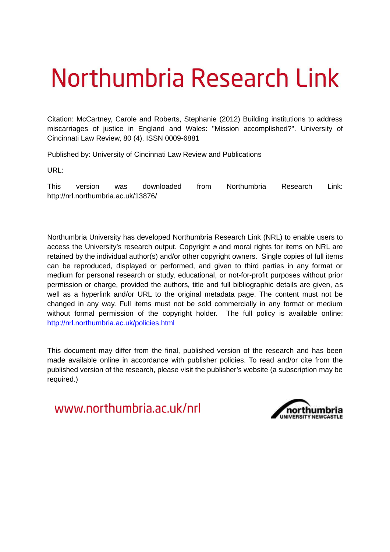# Northumbria Research Link

Citation: McCartney, Carole and Roberts, Stephanie (2012) Building institutions to address miscarriages of justice in England and Wales: "Mission accomplished?". University of Cincinnati Law Review, 80 (4). ISSN 0009-6881

Published by: University of Cincinnati Law Review and Publications

URL:

This version was downloaded from Northumbria Research Link: http://nrl.northumbria.ac.uk/13876/

Northumbria University has developed Northumbria Research Link (NRL) to enable users to access the University's research output. Copyright  $\circ$  and moral rights for items on NRL are retained by the individual author(s) and/or other copyright owners. Single copies of full items can be reproduced, displayed or performed, and given to third parties in any format or medium for personal research or study, educational, or not-for-profit purposes without prior permission or charge, provided the authors, title and full bibliographic details are given, as well as a hyperlink and/or URL to the original metadata page. The content must not be changed in any way. Full items must not be sold commercially in any format or medium without formal permission of the copyright holder. The full policy is available online: <http://nrl.northumbria.ac.uk/policies.html>

This document may differ from the final, published version of the research and has been made available online in accordance with publisher policies. To read and/or cite from the published version of the research, please visit the publisher's website (a subscription may be required.)

www.northumbria.ac.uk/nrl

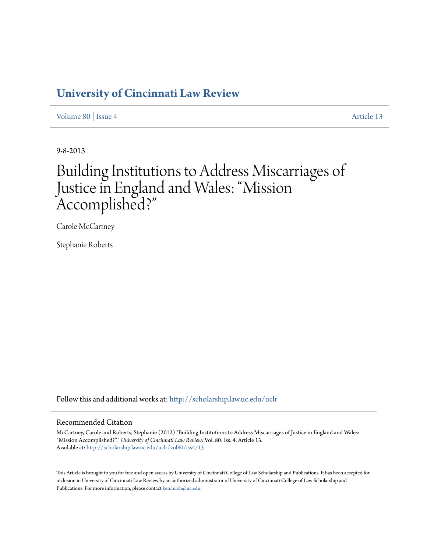### **[University of Cincinnati Law Review](http://scholarship.law.uc.edu/uclr?utm_source=scholarship.law.uc.edu%2Fuclr%2Fvol80%2Fiss4%2F13&utm_medium=PDF&utm_campaign=PDFCoverPages)**

[Volume 80](http://scholarship.law.uc.edu/uclr/vol80?utm_source=scholarship.law.uc.edu%2Fuclr%2Fvol80%2Fiss4%2F13&utm_medium=PDF&utm_campaign=PDFCoverPages) | [Issue 4](http://scholarship.law.uc.edu/uclr/vol80/iss4?utm_source=scholarship.law.uc.edu%2Fuclr%2Fvol80%2Fiss4%2F13&utm_medium=PDF&utm_campaign=PDFCoverPages) [Article 13](http://scholarship.law.uc.edu/uclr/vol80/iss4/13?utm_source=scholarship.law.uc.edu%2Fuclr%2Fvol80%2Fiss4%2F13&utm_medium=PDF&utm_campaign=PDFCoverPages)

9-8-2013

## Building Institutions to Address Miscarriages of Justice in England and Wales: "Mission Accomplished?"

Carole McCartney

Stephanie Roberts

Follow this and additional works at: [htp://scholarship.law.uc.edu/uclr](http://scholarship.law.uc.edu/uclr?utm_source=scholarship.law.uc.edu%2Fuclr%2Fvol80%2Fiss4%2F13&utm_medium=PDF&utm_campaign=PDFCoverPages)

#### Recommended Citation

McCartney, Carole and Roberts, Stephanie (2012) "Building Institutions to Address Miscarriages of Justice in England and Wales: "Mission Accomplished?"," *University of Cincinnati Law Review*: Vol. 80: Iss. 4, Article 13. Available at: [htp://scholarship.law.uc.edu/uclr/vol80/iss4/13](http://scholarship.law.uc.edu/uclr/vol80/iss4/13?utm_source=scholarship.law.uc.edu%2Fuclr%2Fvol80%2Fiss4%2F13&utm_medium=PDF&utm_campaign=PDFCoverPages)

This Article is brought to you for free and open access by University of Cincinnati College of Law Scholarship and Publications. It has been accepted for inclusion in University of Cincinnati Law Review by an authorized administrator of University of Cincinnati College of Law Scholarship and Publications. For more information, please contact [ken.hirsh@uc.edu](mailto:ken.hirsh@uc.edu).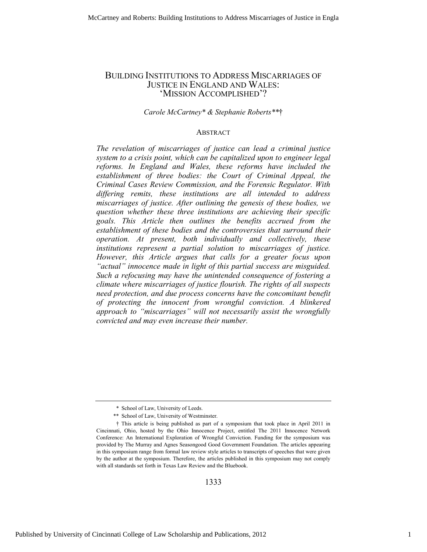#### BUILDING INSTITUTIONS TO ADDRESS MISCARRIAGES OF JUSTICE IN ENGLAND AND WALES: 'MISSION ACCOMPLISHED'?

#### *Carole McCartney\* & Stephanie Roberts\*\**†

#### **ABSTRACT**

*The revelation of miscarriages of justice can lead a criminal justice system to a crisis point, which can be capitalized upon to engineer legal reforms. In England and Wales, these reforms have included the establishment of three bodies: the Court of Criminal Appeal, the Criminal Cases Review Commission, and the Forensic Regulator. With differing remits, these institutions are all intended to address miscarriages of justice. After outlining the genesis of these bodies, we question whether these three institutions are achieving their specific goals. This Article then outlines the benefits accrued from the establishment of these bodies and the controversies that surround their operation. At present, both individually and collectively, these institutions represent a partial solution to miscarriages of justice. However, this Article argues that calls for a greater focus upon "actual" innocence made in light of this partial success are misguided. Such a refocusing may have the unintended consequence of fostering a climate where miscarriages of justice flourish. The rights of all suspects need protection, and due process concerns have the concomitant benefit of protecting the innocent from wrongful conviction. A blinkered approach to "miscarriages" will not necessarily assist the wrongfully convicted and may even increase their number.* 

1333

 <sup>\*</sup> School of Law, University of Leeds.

 <sup>\*\*</sup> School of Law, University of Westminster.

 <sup>†</sup> This article is being published as part of a symposium that took place in April 2011 in Cincinnati, Ohio, hosted by the Ohio Innocence Project, entitled The 2011 Innocence Network Conference: An International Exploration of Wrongful Conviction. Funding for the symposium was provided by The Murray and Agnes Seasongood Good Government Foundation. The articles appearing in this symposium range from formal law review style articles to transcripts of speeches that were given by the author at the symposium. Therefore, the articles published in this symposium may not comply with all standards set forth in Texas Law Review and the Bluebook.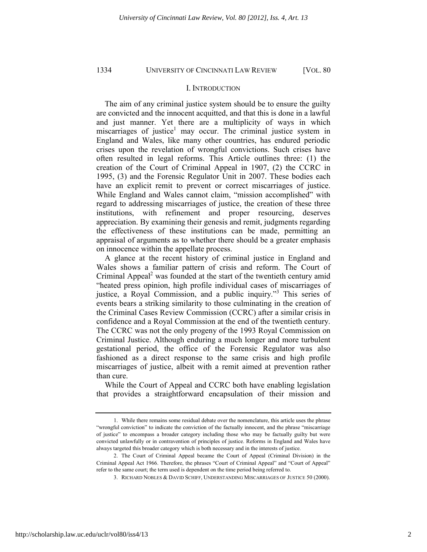#### I. INTRODUCTION

The aim of any criminal justice system should be to ensure the guilty are convicted and the innocent acquitted, and that this is done in a lawful and just manner. Yet there are a multiplicity of ways in which miscarriages of justice<sup>1</sup> may occur. The criminal justice system in England and Wales, like many other countries, has endured periodic crises upon the revelation of wrongful convictions. Such crises have often resulted in legal reforms. This Article outlines three: (1) the creation of the Court of Criminal Appeal in 1907, (2) the CCRC in 1995, (3) and the Forensic Regulator Unit in 2007. These bodies each have an explicit remit to prevent or correct miscarriages of justice. While England and Wales cannot claim, "mission accomplished" with regard to addressing miscarriages of justice, the creation of these three institutions, with refinement and proper resourcing, deserves appreciation. By examining their genesis and remit, judgments regarding the effectiveness of these institutions can be made, permitting an appraisal of arguments as to whether there should be a greater emphasis on innocence within the appellate process.

A glance at the recent history of criminal justice in England and Wales shows a familiar pattern of crisis and reform. The Court of Criminal Appeal<sup>2</sup> was founded at the start of the twentieth century amid "heated press opinion, high profile individual cases of miscarriages of justice, a Royal Commission, and a public inquiry."<sup>3</sup> This series of events bears a striking similarity to those culminating in the creation of the Criminal Cases Review Commission (CCRC) after a similar crisis in confidence and a Royal Commission at the end of the twentieth century. The CCRC was not the only progeny of the 1993 Royal Commission on Criminal Justice. Although enduring a much longer and more turbulent gestational period, the office of the Forensic Regulator was also fashioned as a direct response to the same crisis and high profile miscarriages of justice, albeit with a remit aimed at prevention rather than cure.

While the Court of Appeal and CCRC both have enabling legislation that provides a straightforward encapsulation of their mission and

 <sup>1.</sup> While there remains some residual debate over the nomenclature, this article uses the phrase "wrongful conviction" to indicate the conviction of the factually innocent, and the phrase "miscarriage of justice" to encompass a broader category including those who may be factually guilty but were convicted unlawfully or in contravention of principles of justice. Reforms in England and Wales have always targeted this broader category which is both necessary and in the interests of justice.

 <sup>2.</sup> The Court of Criminal Appeal became the Court of Appeal (Criminal Division) in the Criminal Appeal Act 1966. Therefore, the phrases "Court of Criminal Appeal" and "Court of Appeal" refer to the same court; the term used is dependent on the time period being referred to.

 <sup>3.</sup> RICHARD NOBLES & DAVID SCHIFF, UNDERSTANDING MISCARRIAGES OF JUSTICE 50 (2000).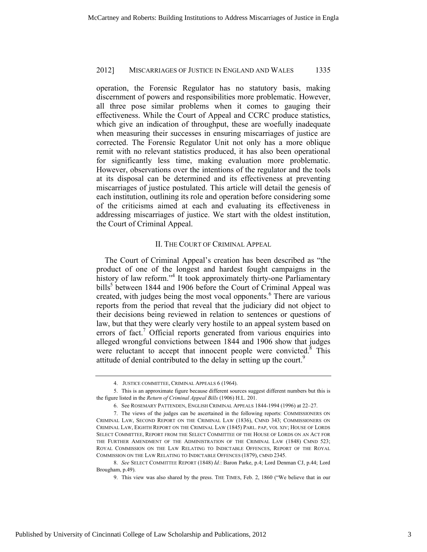operation, the Forensic Regulator has no statutory basis, making discernment of powers and responsibilities more problematic. However, all three pose similar problems when it comes to gauging their effectiveness. While the Court of Appeal and CCRC produce statistics, which give an indication of throughput, these are woefully inadequate when measuring their successes in ensuring miscarriages of justice are corrected. The Forensic Regulator Unit not only has a more oblique remit with no relevant statistics produced, it has also been operational for significantly less time, making evaluation more problematic. However, observations over the intentions of the regulator and the tools at its disposal can be determined and its effectiveness at preventing miscarriages of justice postulated. This article will detail the genesis of each institution, outlining its role and operation before considering some of the criticisms aimed at each and evaluating its effectiveness in addressing miscarriages of justice. We start with the oldest institution, the Court of Criminal Appeal.

#### II. THE COURT OF CRIMINAL APPEAL

The Court of Criminal Appeal's creation has been described as "the product of one of the longest and hardest fought campaigns in the history of law reform."<sup>4</sup> It took approximately thirty-one Parliamentary bills<sup>5</sup> between 1844 and 1906 before the Court of Criminal Appeal was created, with judges being the most vocal opponents.<sup>6</sup> There are various reports from the period that reveal that the judiciary did not object to their decisions being reviewed in relation to sentences or questions of law, but that they were clearly very hostile to an appeal system based on errors of fact.<sup>7</sup> Official reports generated from various enquiries into alleged wrongful convictions between 1844 and 1906 show that judges were reluctant to accept that innocent people were convicted.<sup>8</sup> This attitude of denial contributed to the delay in setting up the court.<sup>9</sup>

 <sup>4.</sup> JUSTICE COMMITTEE, CRIMINAL APPEALS 6 (1964).

 <sup>5.</sup> This is an approximate figure because different sources suggest different numbers but this is the figure listed in the *Return of Criminal Appeal Bills* (1906) H.L. 201.

 <sup>6.</sup> See ROSEMARY PATTENDEN, ENGLISH CRIMINAL APPEALS 1844-1994 (1996) at 22–27.

 <sup>7.</sup> The views of the judges can be ascertained in the following reports: COMMISSIONERS ON CRIMINAL LAW, SECOND REPORT ON THE CRIMINAL LAW (1836), CMND 343; COMMISSIONERS ON CRIMINAL LAW, EIGHTH REPORT ON THE CRIMINAL LAW (1845) PARL. PAP, VOL XIV; HOUSE OF LORDS SELECT COMMITTEE, REPORT FROM THE SELECT COMMITTEE OF THE HOUSE OF LORDS ON AN ACT FOR THE FURTHER AMENDMENT OF THE ADMINISTRATION OF THE CRIMINAL LAW (1848) CMND 523; ROYAL COMMISSION ON THE LAW RELATING TO INDICTABLE OFFENCES, REPORT OF THE ROYAL COMMISSION ON THE LAW RELATING TO INDICTABLE OFFENCES (1879), CMND 2345.

 <sup>8.</sup> *See* SELECT COMMITTEE REPORT (1848) *Id.*: Baron Parke, p.4; Lord Denman CJ, p.44; Lord Brougham, p.49).

 <sup>9.</sup> This view was also shared by the press. THE TIMES, Feb. 2, 1860 ("We believe that in our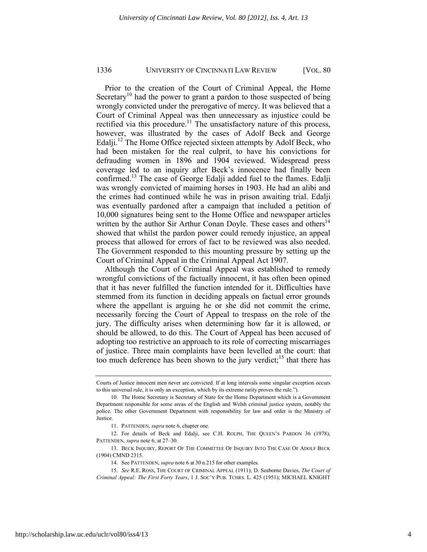Prior to the creation of the Court of Criminal Appeal, the Home Secretary<sup>10</sup> had the power to grant a pardon to those suspected of being wrongly convicted under the prerogative of mercy. It was believed that a Court of Criminal Appeal was then unnecessary as injustice could be rectified via this procedure.<sup>11</sup> The unsatisfactory nature of this process, however, was illustrated by the cases of Adolf Beck and George Edalji.<sup>12</sup> The Home Office rejected sixteen attempts by Adolf Beck, who had been mistaken for the real culprit, to have his convictions for defrauding women in 1896 and 1904 reviewed. Widespread press coverage led to an inquiry after Beck's innocence had finally been confirmed.<sup>13</sup> The case of George Edalji added fuel to the flames. Edalji was wrongly convicted of maiming horses in 1903. He had an alibi and the crimes had continued while he was in prison awaiting trial. Edalji was eventually pardoned after a campaign that included a petition of 10,000 signatures being sent to the Home Office and newspaper articles written by the author Sir Arthur Conan Doyle. These cases and others $14$ showed that whilst the pardon power could remedy injustice, an appeal process that allowed for errors of fact to be reviewed was also needed. The Government responded to this mounting pressure by setting up the Court of Criminal Appeal in the Criminal Appeal Act 1907.

Although the Court of Criminal Appeal was established to remedy wrongful convictions of the factually innocent, it has often been opined that it has never fulfilled the function intended for it. Difficulties have stemmed from its function in deciding appeals on factual error grounds where the appellant is arguing he or she did not commit the crime, necessarily forcing the Court of Appeal to trespass on the role of the jury. The difficulty arises when determining how far it is allowed, or should be allowed, to do this. The Court of Appeal has been accused of adopting too restrictive an approach to its role of correcting miscarriages of justice. Three main complaints have been levelled at the court: that too much deference has been shown to the jury verdict;<sup>15</sup> that there has

Courts of Justice innocent men never are convicted. If at long intervals some singular exception occurs to this universal rule, it is only an exception, which by its extreme rarity proves the rule.").

 <sup>10.</sup> The Home Secretary is Secretary of State for the Home Department which is a Government Department responsible for some areas of the English and Welsh criminal justice system, notably the police. The other Government Department with responsibility for law and order is the Ministry of Justice.

 <sup>11.</sup> PATTENDEN, *supra* note 6, chapter one.

 <sup>12.</sup> For details of Beck and Edalji, see C.H. ROLPH, THE QUEEN'S PARDON 36 (1978); PATTENDEN, *supra* note 6, at 27–30.

 <sup>13.</sup> BECK INQUIRY, REPORT OF THE COMMITTEE OF INQUIRY INTO THE CASE OF ADOLF BECK (1904) CMND 2315.

 <sup>14.</sup> See PATTENDEN, *supra* note 6 at 30 n.215 for other examples.

 <sup>15.</sup> *See* R.E. ROSS, THE COURT OF CRIMINAL APPEAL (1911); D. Seaborne Davies, *The Court of Criminal Appeal: The First Forty Years*, 1 J. SOC'Y PUB. TCHRS. L. 425 (1951); MICHAEL KNIGHT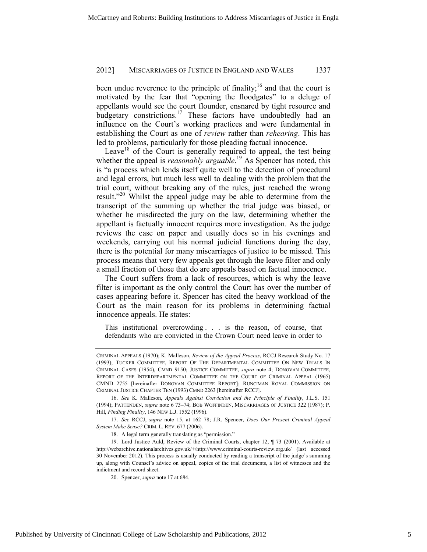been undue reverence to the principle of finality;<sup>16</sup> and that the court is motivated by the fear that "opening the floodgates" to a deluge of appellants would see the court flounder, ensnared by tight resource and budgetary constrictions.<sup>17</sup> These factors have undoubtedly had an influence on the Court's working practices and were fundamental in establishing the Court as one of *review* rather than *rehearing*. This has led to problems, particularly for those pleading factual innocence.

Leave<sup>18</sup> of the Court is generally required to appeal, the test being whether the appeal is *reasonably arguable*.<sup>19</sup> As Spencer has noted, this is "a process which lends itself quite well to the detection of procedural and legal errors, but much less well to dealing with the problem that the trial court, without breaking any of the rules, just reached the wrong result."<sup>20</sup> Whilst the appeal judge may be able to determine from the transcript of the summing up whether the trial judge was biased, or whether he misdirected the jury on the law, determining whether the appellant is factually innocent requires more investigation. As the judge reviews the case on paper and usually does so in his evenings and weekends, carrying out his normal judicial functions during the day, there is the potential for many miscarriages of justice to be missed. This process means that very few appeals get through the leave filter and only a small fraction of those that do are appeals based on factual innocence.

The Court suffers from a lack of resources, which is why the leave filter is important as the only control the Court has over the number of cases appearing before it. Spencer has cited the heavy workload of the Court as the main reason for its problems in determining factual innocence appeals. He states:

This institutional overcrowding . . . is the reason, of course, that defendants who are convicted in the Crown Court need leave in order to

 17. *See* RCCJ, *supra* note 15, at 162–78; J.R. Spencer, *Does Our Present Criminal Appeal System Make Sense?* CRIM. L. REV. 677 (2006).

18. A legal term generally translating as "permission."

CRIMINAL APPEALS (1970); K. Malleson, *Review of the Appeal Process*, RCCJ Research Study No. 17 (1993); TUCKER COMMITTEE, REPORT OF THE DEPARTMENTAL COMMITTEE ON NEW TRIALS IN CRIMINAL CASES (1954), CMND 9150; JUSTICE COMMITTEE, *supra* note 4; DONOVAN COMMITTEE, REPORT OF THE INTERDEPARTMENTAL COMMITTEE ON THE COURT OF CRIMINAL APPEAL (1965) CMND 2755 [hereinafter DONOVAN COMMITTEE REPORT]; RUNCIMAN ROYAL COMMISSION ON CRIMINAL JUSTICE CHAPTER TEN (1993) CMND 2263 [hereinafter RCCJ].

 <sup>16.</sup> *See* K. Malleson, *Appeals Against Conviction and the Principle of Finality*, J.L.S. 151 (1994); PATTENDEN, *supra* note 6 73–74; BOB WOFFINDEN, MISCARRIAGES OF JUSTICE 322 (1987); P. Hill, *Finding Finality*, 146 NEW L.J. 1552 (1996).

 <sup>19.</sup> Lord Justice Auld, Review of the Criminal Courts, chapter 12, ¶ 73 (2001). Available at http://webarchive.nationalarchives.gov.uk/+/http://www.criminal-courts-review.org.uk/ (last accessed 30 November 2012). This process is usually conducted by reading a transcript of the judge's summing up, along with Counsel's advice on appeal, copies of the trial documents, a list of witnesses and the indictment and record sheet.

 <sup>20.</sup> Spencer, *supra* note 17 at 684.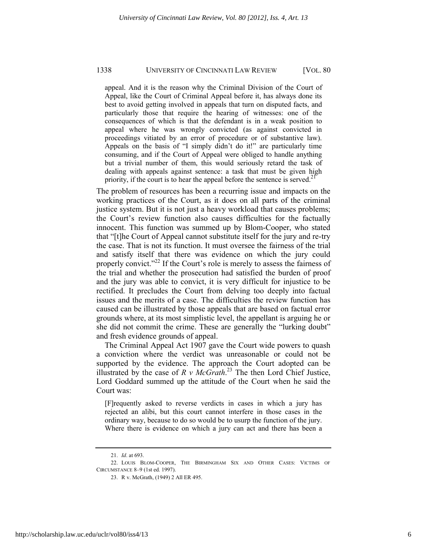appeal. And it is the reason why the Criminal Division of the Court of Appeal, like the Court of Criminal Appeal before it, has always done its best to avoid getting involved in appeals that turn on disputed facts, and particularly those that require the hearing of witnesses: one of the consequences of which is that the defendant is in a weak position to appeal where he was wrongly convicted (as against convicted in proceedings vitiated by an error of procedure or of substantive law). Appeals on the basis of "I simply didn't do it!" are particularly time consuming, and if the Court of Appeal were obliged to handle anything but a trivial number of them, this would seriously retard the task of dealing with appeals against sentence: a task that must be given high priority, if the court is to hear the appeal before the sentence is served.<sup>21</sup>

The problem of resources has been a recurring issue and impacts on the working practices of the Court, as it does on all parts of the criminal justice system. But it is not just a heavy workload that causes problems; the Court's review function also causes difficulties for the factually innocent. This function was summed up by Blom-Cooper, who stated that "[t]he Court of Appeal cannot substitute itself for the jury and re-try the case. That is not its function. It must oversee the fairness of the trial and satisfy itself that there was evidence on which the jury could properly convict."<sup>22</sup> If the Court's role is merely to assess the fairness of the trial and whether the prosecution had satisfied the burden of proof and the jury was able to convict, it is very difficult for injustice to be rectified. It precludes the Court from delving too deeply into factual issues and the merits of a case. The difficulties the review function has caused can be illustrated by those appeals that are based on factual error grounds where, at its most simplistic level, the appellant is arguing he or she did not commit the crime. These are generally the "lurking doubt" and fresh evidence grounds of appeal.

The Criminal Appeal Act 1907 gave the Court wide powers to quash a conviction where the verdict was unreasonable or could not be supported by the evidence. The approach the Court adopted can be illustrated by the case of  $R \, v \, McGrath.<sup>23</sup>$  The then Lord Chief Justice, Lord Goddard summed up the attitude of the Court when he said the Court was:

[F]requently asked to reverse verdicts in cases in which a jury has rejected an alibi, but this court cannot interfere in those cases in the ordinary way, because to do so would be to usurp the function of the jury. Where there is evidence on which a jury can act and there has been a

 <sup>21.</sup> *Id*. at 693.

 <sup>22.</sup> LOUIS BLOM-COOPER, THE BIRMINGHAM SIX AND OTHER CASES: VICTIMS OF CIRCUMSTANCE 8–9 (1st ed. 1997).

 <sup>23.</sup> R v. McGrath, (1949) 2 All ER 495.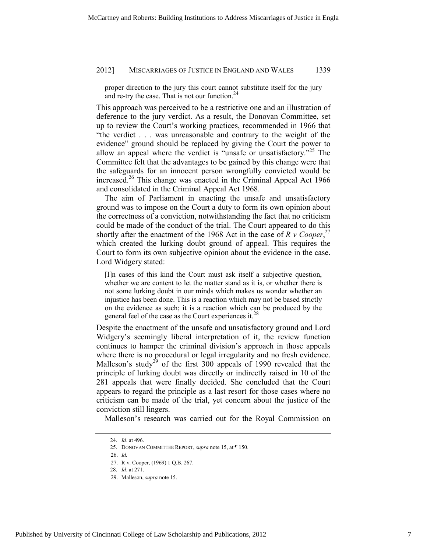proper direction to the jury this court cannot substitute itself for the jury and re-try the case. That is not our function. $24$ 

This approach was perceived to be a restrictive one and an illustration of deference to the jury verdict. As a result, the Donovan Committee, set up to review the Court's working practices, recommended in 1966 that "the verdict . . . was unreasonable and contrary to the weight of the evidence" ground should be replaced by giving the Court the power to allow an appeal where the verdict is "unsafe or unsatisfactory."<sup>25</sup> The Committee felt that the advantages to be gained by this change were that the safeguards for an innocent person wrongfully convicted would be increased.<sup>26</sup> This change was enacted in the Criminal Appeal Act 1966 and consolidated in the Criminal Appeal Act 1968.

The aim of Parliament in enacting the unsafe and unsatisfactory ground was to impose on the Court a duty to form its own opinion about the correctness of a conviction, notwithstanding the fact that no criticism could be made of the conduct of the trial. The Court appeared to do this shortly after the enactment of the 1968 Act in the case of  $R$  v Cooper,<sup>27</sup> which created the lurking doubt ground of appeal. This requires the Court to form its own subjective opinion about the evidence in the case. Lord Widgery stated:

[I]n cases of this kind the Court must ask itself a subjective question, whether we are content to let the matter stand as it is, or whether there is not some lurking doubt in our minds which makes us wonder whether an injustice has been done. This is a reaction which may not be based strictly on the evidence as such; it is a reaction which can be produced by the general feel of the case as the Court experiences it.<sup>28</sup>

Despite the enactment of the unsafe and unsatisfactory ground and Lord Widgery's seemingly liberal interpretation of it, the review function continues to hamper the criminal division's approach in those appeals where there is no procedural or legal irregularity and no fresh evidence. Malleson's study<sup>29</sup> of the first 300 appeals of 1990 revealed that the principle of lurking doubt was directly or indirectly raised in 10 of the 281 appeals that were finally decided. She concluded that the Court appears to regard the principle as a last resort for those cases where no criticism can be made of the trial, yet concern about the justice of the conviction still lingers.

Malleson's research was carried out for the Royal Commission on

<sup>24.</sup> *Id*. at 496.

<sup>25.</sup> DONOVAN COMMITTEE REPORT, *supra* note 15, at ¶ 150.

 <sup>26.</sup> *Id.*

 <sup>27.</sup> R v. Cooper, (1969) 1 Q.B. 267.

<sup>28.</sup> *Id*. at 271.

 <sup>29.</sup> Malleson, *supra* note 15.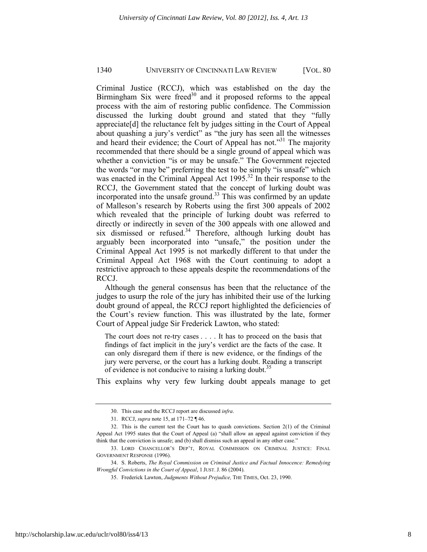Criminal Justice (RCCJ), which was established on the day the Birmingham Six were freed $30$  and it proposed reforms to the appeal process with the aim of restoring public confidence. The Commission discussed the lurking doubt ground and stated that they "fully appreciate[d] the reluctance felt by judges sitting in the Court of Appeal about quashing a jury's verdict" as "the jury has seen all the witnesses and heard their evidence; the Court of Appeal has not."<sup>31</sup> The majority recommended that there should be a single ground of appeal which was whether a conviction "is or may be unsafe." The Government rejected the words "or may be" preferring the test to be simply "is unsafe" which was enacted in the Criminal Appeal Act 1995.<sup>32</sup> In their response to the RCCJ, the Government stated that the concept of lurking doubt was incorporated into the unsafe ground.<sup>33</sup> This was confirmed by an update of Malleson's research by Roberts using the first 300 appeals of 2002 which revealed that the principle of lurking doubt was referred to directly or indirectly in seven of the 300 appeals with one allowed and six dismissed or refused.<sup>34</sup> Therefore, although lurking doubt has arguably been incorporated into "unsafe," the position under the Criminal Appeal Act 1995 is not markedly different to that under the Criminal Appeal Act 1968 with the Court continuing to adopt a restrictive approach to these appeals despite the recommendations of the RCCJ.

Although the general consensus has been that the reluctance of the judges to usurp the role of the jury has inhibited their use of the lurking doubt ground of appeal, the RCCJ report highlighted the deficiencies of the Court's review function. This was illustrated by the late, former Court of Appeal judge Sir Frederick Lawton, who stated:

The court does not re-try cases . . . . It has to proceed on the basis that findings of fact implicit in the jury's verdict are the facts of the case. It can only disregard them if there is new evidence, or the findings of the jury were perverse, or the court has a lurking doubt. Reading a transcript of evidence is not conducive to raising a lurking doubt.<sup>35</sup>

This explains why very few lurking doubt appeals manage to get

 <sup>30.</sup> This case and the RCCJ report are discussed *infra*.

 <sup>31.</sup> RCCJ, *supra* note 15, at 171–72 ¶ 46.

 <sup>32.</sup> This is the current test the Court has to quash convictions. Section 2(1) of the Criminal Appeal Act 1995 states that the Court of Appeal (a) "shall allow an appeal against conviction if they think that the conviction is unsafe; and (b) shall dismiss such an appeal in any other case."

 <sup>33.</sup> LORD CHANCELLOR'S DEP'T, ROYAL COMMISSION ON CRIMINAL JUSTICE: FINAL GOVERNMENT RESPONSE (1996).

 <sup>34.</sup> S. Roberts, *The Royal Commission on Criminal Justice and Factual Innocence: Remedying Wrongful Convictions in the Court of Appeal*, 1 JUST. J. 86 (2004).

 <sup>35.</sup> Frederick Lawton, *Judgments Without Prejudice,* THE TIMES, Oct. 23, 1990.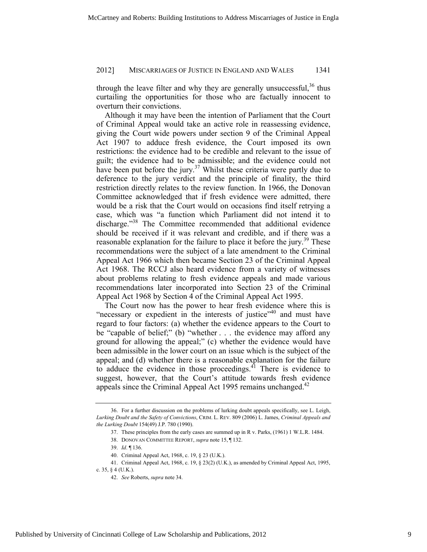through the leave filter and why they are generally unsuccessful.<sup>36</sup> thus curtailing the opportunities for those who are factually innocent to overturn their convictions.

Although it may have been the intention of Parliament that the Court of Criminal Appeal would take an active role in reassessing evidence, giving the Court wide powers under section 9 of the Criminal Appeal Act 1907 to adduce fresh evidence, the Court imposed its own restrictions: the evidence had to be credible and relevant to the issue of guilt; the evidence had to be admissible; and the evidence could not have been put before the jury.<sup>37</sup> Whilst these criteria were partly due to deference to the jury verdict and the principle of finality, the third restriction directly relates to the review function. In 1966, the Donovan Committee acknowledged that if fresh evidence were admitted, there would be a risk that the Court would on occasions find itself retrying a case, which was "a function which Parliament did not intend it to discharge."<sup>38</sup> The Committee recommended that additional evidence should be received if it was relevant and credible, and if there was a reasonable explanation for the failure to place it before the jury.<sup>39</sup> These recommendations were the subject of a late amendment to the Criminal Appeal Act 1966 which then became Section 23 of the Criminal Appeal Act 1968. The RCCJ also heard evidence from a variety of witnesses about problems relating to fresh evidence appeals and made various recommendations later incorporated into Section 23 of the Criminal Appeal Act 1968 by Section 4 of the Criminal Appeal Act 1995.

The Court now has the power to hear fresh evidence where this is "necessary or expedient in the interests of justice"<sup>40</sup> and must have regard to four factors: (a) whether the evidence appears to the Court to be "capable of belief;" (b) "whether . . . the evidence may afford any ground for allowing the appeal;" (c) whether the evidence would have been admissible in the lower court on an issue which is the subject of the appeal; and (d) whether there is a reasonable explanation for the failure to adduce the evidence in those proceedings.<sup>41</sup> There is evidence to suggest, however, that the Court's attitude towards fresh evidence appeals since the Criminal Appeal Act 1995 remains unchanged. $42$ 

 <sup>36.</sup> For a further discussion on the problems of lurking doubt appeals specifically, see L. Leigh, *Lurking Doubt and the Safety of Convictions*, CRIM. L. REV. 809 (2006) L. James, *Criminal Appeals and the Lurking Doubt* 154(49) J.P. 780 (1990).

 <sup>37.</sup> These principles from the early cases are summed up in R v. Parks, (1961) 1 W.L.R. 1484.

 <sup>38.</sup> DONOVAN COMMITTEE REPORT, *supra* note 15, ¶ 132.

 <sup>39.</sup> *Id*. ¶ 136.

 <sup>40.</sup> Criminal Appeal Act, 1968, c. 19, § 23 (U.K.).

 <sup>41.</sup> Criminal Appeal Act, 1968, c. 19, § 23(2) (U.K.), as amended by Criminal Appeal Act, 1995, c. 35, § 4 (U.K.).

 <sup>42.</sup> *See* Roberts, *supra* note 34.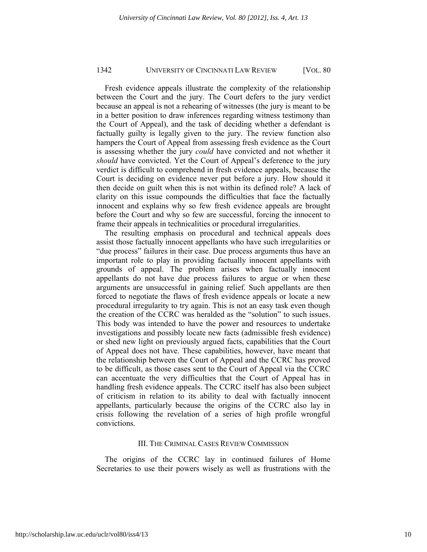Fresh evidence appeals illustrate the complexity of the relationship between the Court and the jury. The Court defers to the jury verdict because an appeal is not a rehearing of witnesses (the jury is meant to be in a better position to draw inferences regarding witness testimony than the Court of Appeal), and the task of deciding whether a defendant is factually guilty is legally given to the jury. The review function also hampers the Court of Appeal from assessing fresh evidence as the Court is assessing whether the jury *could* have convicted and not whether it *should* have convicted. Yet the Court of Appeal's deference to the jury verdict is difficult to comprehend in fresh evidence appeals, because the Court is deciding on evidence never put before a jury. How should it then decide on guilt when this is not within its defined role? A lack of clarity on this issue compounds the difficulties that face the factually innocent and explains why so few fresh evidence appeals are brought before the Court and why so few are successful, forcing the innocent to frame their appeals in technicalities or procedural irregularities.

The resulting emphasis on procedural and technical appeals does assist those factually innocent appellants who have such irregularities or "due process" failures in their case. Due process arguments thus have an important role to play in providing factually innocent appellants with grounds of appeal. The problem arises when factually innocent appellants do not have due process failures to argue or when these arguments are unsuccessful in gaining relief. Such appellants are then forced to negotiate the flaws of fresh evidence appeals or locate a new procedural irregularity to try again. This is not an easy task even though the creation of the CCRC was heralded as the "solution" to such issues. This body was intended to have the power and resources to undertake investigations and possibly locate new facts (admissible fresh evidence) or shed new light on previously argued facts, capabilities that the Court of Appeal does not have. These capabilities, however, have meant that the relationship between the Court of Appeal and the CCRC has proved to be difficult, as those cases sent to the Court of Appeal via the CCRC can accentuate the very difficulties that the Court of Appeal has in handling fresh evidence appeals. The CCRC itself has also been subject of criticism in relation to its ability to deal with factually innocent appellants, particularly because the origins of the CCRC also lay in crisis following the revelation of a series of high profile wrongful convictions.

#### III. THE CRIMINAL CASES REVIEW COMMISSION

The origins of the CCRC lay in continued failures of Home Secretaries to use their powers wisely as well as frustrations with the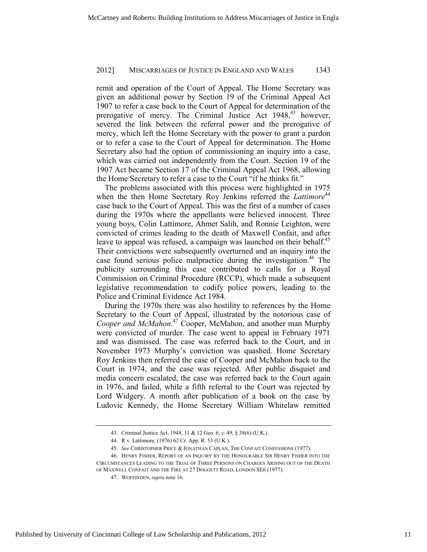remit and operation of the Court of Appeal. The Home Secretary was given an additional power by Section 19 of the Criminal Appeal Act 1907 to refer a case back to the Court of Appeal for determination of the prerogative of mercy. The Criminal Justice Act  $1948$ ,<sup>43</sup> however, severed the link between the referral power and the prerogative of mercy, which left the Home Secretary with the power to grant a pardon or to refer a case to the Court of Appeal for determination. The Home Secretary also had the option of commissioning an inquiry into a case, which was carried out independently from the Court. Section 19 of the 1907 Act became Section 17 of the Criminal Appeal Act 1968, allowing the Home Secretary to refer a case to the Court "if he thinks fit."

The problems associated with this process were highlighted in 1975 when the then Home Secretary Roy Jenkins referred the *Lattimore*<sup>44</sup> case back to the Court of Appeal. This was the first of a number of cases during the 1970s where the appellants were believed innocent. Three young boys, Colin Lattimore, Ahmet Salih, and Ronnie Leighton, were convicted of crimes leading to the death of Maxwell Confait, and after leave to appeal was refused, a campaign was launched on their behalf.<sup>45</sup> Their convictions were subsequently overturned and an inquiry into the case found serious police malpractice during the investigation.<sup>46</sup> The publicity surrounding this case contributed to calls for a Royal Commission on Criminal Procedure (RCCP), which made a subsequent legislative recommendation to codify police powers, leading to the Police and Criminal Evidence Act 1984.

During the 1970s there was also hostility to references by the Home Secretary to the Court of Appeal, illustrated by the notorious case of *Cooper and McMahon.*<sup>47</sup> Cooper, McMahon, and another man Murphy were convicted of murder. The case went to appeal in February 1971 and was dismissed. The case was referred back to the Court, and in November 1973 Murphy's conviction was quashed. Home Secretary Roy Jenkins then referred the case of Cooper and McMahon back to the Court in 1974, and the case was rejected. After public disquiet and media concern escalated, the case was referred back to the Court again in 1976, and failed, while a fifth referral to the Court was rejected by Lord Widgery. A month after publication of a book on the case by Ludovic Kennedy, the Home Secretary William Whitelaw remitted

 <sup>43.</sup> Criminal Justice Act, 1948, 11 & 12 Geo. 6, c. 49, § 38(6) (U.K.).

 <sup>44.</sup> R v. Lattimore, (1976) 62 Cr. App. R. 53 (U.K.).

 <sup>45.</sup> *See* CHRISTOPHER PRICE & JONATHAN CAPLAN, THE CONFAIT CONFESSIONS (1977).

 <sup>46.</sup> HENRY FISHER, REPORT OF AN INQUIRY BY THE HONOURABLE SIR HENRY FISHER INTO THE CIRCUMSTANCES LEADING TO THE TRIAL OF THREE PERSONS ON CHARGES ARISING OUT OF THE DEATH OF MAXWELL CONFAIT AND THE FIRE AT 27 DOGGETT ROAD, LONDON SE6 (1977).

 <sup>47.</sup> WOFFINDEN, *supra* note 16.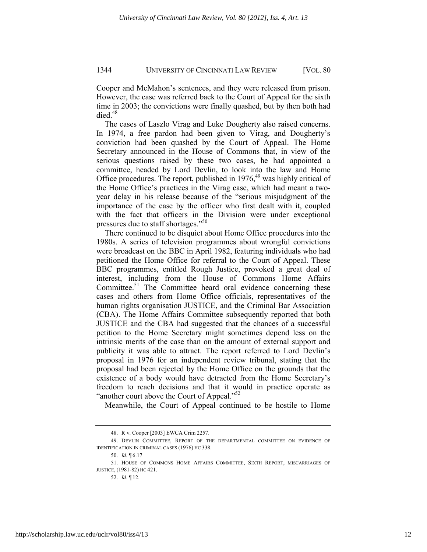Cooper and McMahon's sentences, and they were released from prison. However, the case was referred back to the Court of Appeal for the sixth time in 2003; the convictions were finally quashed, but by then both had died.<sup>48</sup>

The cases of Laszlo Virag and Luke Dougherty also raised concerns. In 1974, a free pardon had been given to Virag, and Dougherty's conviction had been quashed by the Court of Appeal. The Home Secretary announced in the House of Commons that, in view of the serious questions raised by these two cases, he had appointed a committee, headed by Lord Devlin, to look into the law and Home Office procedures. The report, published in  $1976<sub>19</sub><sup>49</sup>$  was highly critical of the Home Office's practices in the Virag case, which had meant a twoyear delay in his release because of the "serious misjudgment of the importance of the case by the officer who first dealt with it, coupled with the fact that officers in the Division were under exceptional pressures due to staff shortages."<sup>50</sup>

There continued to be disquiet about Home Office procedures into the 1980s. A series of television programmes about wrongful convictions were broadcast on the BBC in April 1982, featuring individuals who had petitioned the Home Office for referral to the Court of Appeal. These BBC programmes, entitled Rough Justice, provoked a great deal of interest, including from the House of Commons Home Affairs Committee.<sup>51</sup> The Committee heard oral evidence concerning these cases and others from Home Office officials, representatives of the human rights organisation JUSTICE, and the Criminal Bar Association (CBA). The Home Affairs Committee subsequently reported that both JUSTICE and the CBA had suggested that the chances of a successful petition to the Home Secretary might sometimes depend less on the intrinsic merits of the case than on the amount of external support and publicity it was able to attract. The report referred to Lord Devlin's proposal in 1976 for an independent review tribunal, stating that the proposal had been rejected by the Home Office on the grounds that the existence of a body would have detracted from the Home Secretary's freedom to reach decisions and that it would in practice operate as "another court above the Court of Appeal."<sup>52</sup>

Meanwhile, the Court of Appeal continued to be hostile to Home

 <sup>48.</sup> R v. Cooper [2003] EWCA Crim 2257.

 <sup>49.</sup> DEVLIN COMMITTEE, REPORT OF THE DEPARTMENTAL COMMITTEE ON EVIDENCE OF IDENTIFICATION IN CRIMINAL CASES (1976) HC 338.

 <sup>50.</sup> *Id.* ¶ 6.17

 <sup>51.</sup> HOUSE OF COMMONS HOME AFFAIRS COMMITTEE, SIXTH REPORT, MISCARRIAGES OF JUSTICE, (1981-82) HC 421.

 <sup>52.</sup> *Id*. ¶ 12.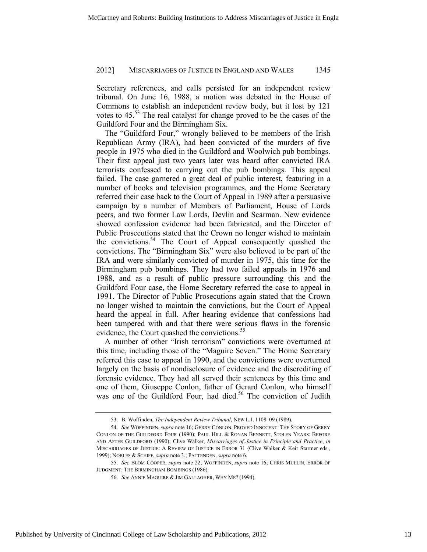Secretary references, and calls persisted for an independent review tribunal. On June 16, 1988, a motion was debated in the House of Commons to establish an independent review body, but it lost by 121 votes to 45.<sup>53</sup> The real catalyst for change proved to be the cases of the Guildford Four and the Birmingham Six.

The "Guildford Four," wrongly believed to be members of the Irish Republican Army (IRA), had been convicted of the murders of five people in 1975 who died in the Guildford and Woolwich pub bombings. Their first appeal just two years later was heard after convicted IRA terrorists confessed to carrying out the pub bombings. This appeal failed. The case garnered a great deal of public interest, featuring in a number of books and television programmes, and the Home Secretary referred their case back to the Court of Appeal in 1989 after a persuasive campaign by a number of Members of Parliament, House of Lords peers, and two former Law Lords, Devlin and Scarman. New evidence showed confession evidence had been fabricated, and the Director of Public Prosecutions stated that the Crown no longer wished to maintain the convictions.<sup>54</sup> The Court of Appeal consequently quashed the convictions. The "Birmingham Six" were also believed to be part of the IRA and were similarly convicted of murder in 1975, this time for the Birmingham pub bombings. They had two failed appeals in 1976 and 1988, and as a result of public pressure surrounding this and the Guildford Four case, the Home Secretary referred the case to appeal in 1991. The Director of Public Prosecutions again stated that the Crown no longer wished to maintain the convictions, but the Court of Appeal heard the appeal in full. After hearing evidence that confessions had been tampered with and that there were serious flaws in the forensic evidence, the Court quashed the convictions.<sup>55</sup>

A number of other "Irish terrorism" convictions were overturned at this time, including those of the "Maguire Seven." The Home Secretary referred this case to appeal in 1990, and the convictions were overturned largely on the basis of nondisclosure of evidence and the discrediting of forensic evidence. They had all served their sentences by this time and one of them, Giuseppe Conlon, father of Gerard Conlon, who himself was one of the Guildford Four, had died.<sup>56</sup> The conviction of Judith

 <sup>53.</sup> B. Woffinden, *The Independent Review Tribunal*, NEW L.J. 1108–09 (1989).

 <sup>54.</sup> *See* WOFFINDEN, *supra* note 16; GERRY CONLON, PROVED INNOCENT: THE STORY OF GERRY CONLON OF THE GUILDFORD FOUR (1990); PAUL HILL & RONAN BENNETT, STOLEN YEARS: BEFORE AND AFTER GUILDFORD (1990); Clive Walker, *Miscarriages of Justice in Principle and Practice*, *in*  MISCARRIAGES OF JUSTICE: A REVIEW OF JUSTICE IN ERROR 31 (Clive Walker & Keir Starmer eds., 1999); NOBLES & SCHIFF, *supra* note 3.; PATTENDEN, *supra* note 6.

 <sup>55.</sup> *See* BLOM-COOPER, *supra* note 22; WOFFINDEN, *supra* note 16; CHRIS MULLIN, ERROR OF JUDGMENT: THE BIRMINGHAM BOMBINGS (1986).

 <sup>56.</sup> *See* ANNIE MAGUIRE & JIM GALLAGHER, WHY ME? (1994).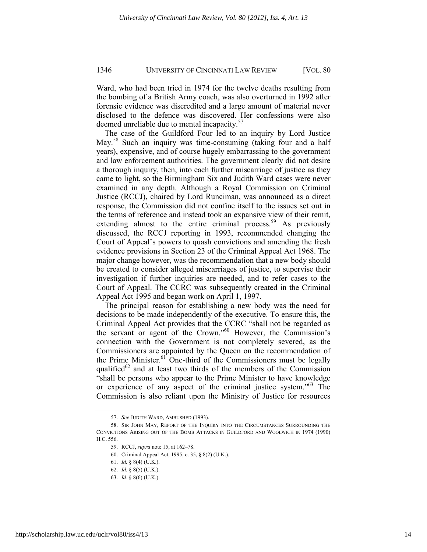Ward, who had been tried in 1974 for the twelve deaths resulting from the bombing of a British Army coach, was also overturned in 1992 after forensic evidence was discredited and a large amount of material never disclosed to the defence was discovered. Her confessions were also deemed unreliable due to mental incapacity.<sup>57</sup>

The case of the Guildford Four led to an inquiry by Lord Justice May.<sup>58</sup> Such an inquiry was time-consuming (taking four and a half years), expensive, and of course hugely embarrassing to the government and law enforcement authorities. The government clearly did not desire a thorough inquiry, then, into each further miscarriage of justice as they came to light, so the Birmingham Six and Judith Ward cases were never examined in any depth. Although a Royal Commission on Criminal Justice (RCCJ), chaired by Lord Runciman, was announced as a direct response, the Commission did not confine itself to the issues set out in the terms of reference and instead took an expansive view of their remit, extending almost to the entire criminal process.<sup>59</sup> As previously discussed, the RCCJ reporting in 1993, recommended changing the Court of Appeal's powers to quash convictions and amending the fresh evidence provisions in Section 23 of the Criminal Appeal Act 1968. The major change however, was the recommendation that a new body should be created to consider alleged miscarriages of justice, to supervise their investigation if further inquiries are needed, and to refer cases to the Court of Appeal. The CCRC was subsequently created in the Criminal Appeal Act 1995 and began work on April 1, 1997.

The principal reason for establishing a new body was the need for decisions to be made independently of the executive. To ensure this, the Criminal Appeal Act provides that the CCRC "shall not be regarded as the servant or agent of the Crown."<sup>60</sup> However, the Commission's connection with the Government is not completely severed, as the Commissioners are appointed by the Queen on the recommendation of the Prime Minister.<sup>61</sup> One-third of the Commissioners must be legally qualified $^{62}$  and at least two thirds of the members of the Commission "shall be persons who appear to the Prime Minister to have knowledge or experience of any aspect of the criminal justice system."<sup>63</sup> The Commission is also reliant upon the Ministry of Justice for resources

 <sup>57.</sup> *See* JUDITH WARD, AMBUSHED (1993).

 <sup>58.</sup> SIR JOHN MAY, REPORT OF THE INQUIRY INTO THE CIRCUMSTANCES SURROUNDING THE CONVICTIONS ARISING OUT OF THE BOMB ATTACKS IN GUILDFORD AND WOOLWICH IN 1974 (1990) H.C. 556.

 <sup>59.</sup> RCCJ, *supra* note 15, at 162–78.

 <sup>60.</sup> Criminal Appeal Act, 1995, c. 35, § 8(2) (U.K.).

 <sup>61.</sup> *Id.* § 8(4) (U.K.).

 <sup>62.</sup> *Id.* § 8(5) (U.K.).

 <sup>63.</sup> *Id*. § 8(6) (U.K.).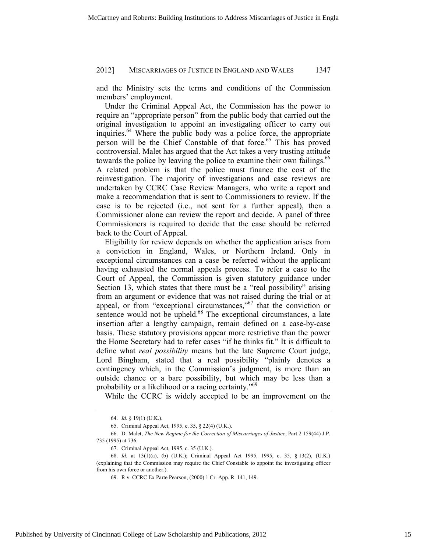and the Ministry sets the terms and conditions of the Commission members' employment.

Under the Criminal Appeal Act, the Commission has the power to require an "appropriate person" from the public body that carried out the original investigation to appoint an investigating officer to carry out inquiries.<sup>64</sup> Where the public body was a police force, the appropriate person will be the Chief Constable of that force.<sup>65</sup> This has proved controversial. Malet has argued that the Act takes a very trusting attitude towards the police by leaving the police to examine their own failings.<sup>66</sup> A related problem is that the police must finance the cost of the reinvestigation. The majority of investigations and case reviews are undertaken by CCRC Case Review Managers, who write a report and make a recommendation that is sent to Commissioners to review. If the case is to be rejected (i.e., not sent for a further appeal), then a Commissioner alone can review the report and decide. A panel of three Commissioners is required to decide that the case should be referred back to the Court of Appeal.

Eligibility for review depends on whether the application arises from a conviction in England, Wales, or Northern Ireland. Only in exceptional circumstances can a case be referred without the applicant having exhausted the normal appeals process. To refer a case to the Court of Appeal, the Commission is given statutory guidance under Section 13, which states that there must be a "real possibility" arising from an argument or evidence that was not raised during the trial or at appeal, or from "exceptional circumstances," $\delta$ <sup>7</sup> that the conviction or sentence would not be upheld.<sup>68</sup> The exceptional circumstances, a late insertion after a lengthy campaign, remain defined on a case-by-case basis. These statutory provisions appear more restrictive than the power the Home Secretary had to refer cases "if he thinks fit." It is difficult to define what *real possibility* means but the late Supreme Court judge, Lord Bingham, stated that a real possibility "plainly denotes a contingency which, in the Commission's judgment, is more than an outside chance or a bare possibility, but which may be less than a probability or a likelihood or a racing certainty."<sup>69</sup>

While the CCRC is widely accepted to be an improvement on the

 <sup>64.</sup> *Id.* § 19(1) (U.K.).

 <sup>65.</sup> Criminal Appeal Act, 1995, c. 35, § 22(4) (U.K.).

 <sup>66.</sup> D. Malet, *The New Regime for the Correction of Miscarriages of Justice*, Part 2 159(44) J.P. 735 (1995) at 736.

 <sup>67.</sup> Criminal Appeal Act, 1995, c. 35 (U.K.).

 <sup>68.</sup> *Id.* at 13(1)(a), (b) (U.K.); Criminal Appeal Act 1995, 1995, c. 35, § 13(2), (U.K.) (explaining that the Commission may require the Chief Constable to appoint the investigating officer from his own force or another.).

 <sup>69.</sup> R v. CCRC Ex Parte Pearson, (2000) 1 Cr. App. R. 141, 149.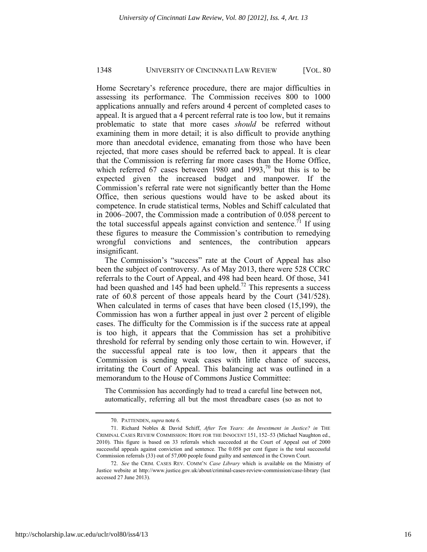Home Secretary's reference procedure, there are major difficulties in assessing its performance. The Commission receives 800 to 1000 applications annually and refers around 4 percent of completed cases to appeal. It is argued that a 4 percent referral rate is too low, but it remains problematic to state that more cases *should* be referred without examining them in more detail; it is also difficult to provide anything more than anecdotal evidence, emanating from those who have been rejected, that more cases should be referred back to appeal. It is clear that the Commission is referring far more cases than the Home Office, which referred 67 cases between 1980 and 1993,<sup>70</sup> but this is to be expected given the increased budget and manpower. If the Commission's referral rate were not significantly better than the Home Office, then serious questions would have to be asked about its competence. In crude statistical terms, Nobles and Schiff calculated that in 2006–2007, the Commission made a contribution of 0.058 percent to the total successful appeals against conviction and sentence.<sup>71</sup> If using these figures to measure the Commission's contribution to remedying wrongful convictions and sentences, the contribution appears insignificant.

The Commission's "success" rate at the Court of Appeal has also been the subject of controversy. As of May 2013, there were 528 CCRC referrals to the Court of Appeal, and 498 had been heard. Of those, 341 had been quashed and  $145$  had been upheld.<sup>72</sup> This represents a success rate of 60.8 percent of those appeals heard by the Court (341/528). When calculated in terms of cases that have been closed (15,199), the Commission has won a further appeal in just over 2 percent of eligible cases. The difficulty for the Commission is if the success rate at appeal is too high, it appears that the Commission has set a prohibitive threshold for referral by sending only those certain to win. However, if the successful appeal rate is too low, then it appears that the Commission is sending weak cases with little chance of success, irritating the Court of Appeal. This balancing act was outlined in a memorandum to the House of Commons Justice Committee:

The Commission has accordingly had to tread a careful line between not, automatically, referring all but the most threadbare cases (so as not to

 <sup>70.</sup> PATTENDEN, *supra* note 6.

 <sup>71.</sup> Richard Nobles & David Schiff, *After Ten Years: An Investment in Justice? in* THE CRIMINAL CASES REVIEW COMMISSION: HOPE FOR THE INNOCENT 151, 152–53 (Michael Naughton ed., 2010). This figure is based on 33 referrals which succeeded at the Court of Appeal out of 2000 successful appeals against conviction and sentence. The 0.058 per cent figure is the total successful Commission referrals (33) out of 57,000 people found guilty and sentenced in the Crown Court.

 <sup>72.</sup> *See* the CRIM. CASES REV. COMM'N *Case Library* which is available on the Ministry of Justice website at http://www.justice.gov.uk/about/criminal-cases-review-commission/case-library (last accessed 27 June 2013).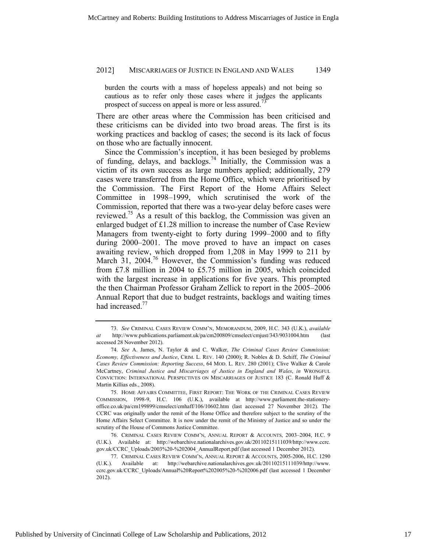burden the courts with a mass of hopeless appeals) and not being so cautious as to refer only those cases where it judges the applicants prospect of success on appeal is more or less assured.<sup>73</sup>

There are other areas where the Commission has been criticised and these criticisms can be divided into two broad areas. The first is its working practices and backlog of cases; the second is its lack of focus on those who are factually innocent.

Since the Commission's inception, it has been besieged by problems of funding, delays, and backlogs.<sup>74</sup> Initially, the Commission was a victim of its own success as large numbers applied; additionally, 279 cases were transferred from the Home Office, which were prioritised by the Commission. The First Report of the Home Affairs Select Committee in 1998–1999, which scrutinised the work of the Commission, reported that there was a two-year delay before cases were reviewed.<sup>75</sup> As a result of this backlog, the Commission was given an enlarged budget of £1.28 million to increase the number of Case Review Managers from twenty-eight to forty during 1999–2000 and to fifty during 2000–2001. The move proved to have an impact on cases awaiting review, which dropped from 1,208 in May 1999 to 211 by March 31, 2004.<sup>76</sup> However, the Commission's funding was reduced from £7.8 million in 2004 to £5.75 million in 2005, which coincided with the largest increase in applications for five years. This prompted the then Chairman Professor Graham Zellick to report in the 2005–2006 Annual Report that due to budget restraints, backlogs and waiting times had increased.<sup>77</sup>

 <sup>73.</sup> *See* CRIMINAL CASES REVIEW COMM'N, MEMORANDUM, 2009, H.C. 343 (U.K.), *available at* http://www.publications.parliament.uk/pa/cm200809/cmselect/cmjust/343/9031004.htm (last accessed 28 November 2012).

 <sup>74.</sup> *See* A. James, N. Taylor & and C. Walker, *The Criminal Cases Review Commission: Economy, Effectiveness and Justice*, CRIM. L. REV. 140 (2000); R. Nobles & D. Schiff, *The Criminal Cases Review Commission: Reporting Success*, 64 MOD. L. REV. 280 (2001); Clive Walker & Carole McCartney, *Criminal Justice and Miscarriages of Justice in England and Wales*, *in* WRONGFUL CONVICTION: INTERNATIONAL PERSPECTIVES ON MISCARRIAGES OF JUSTICE 183 (C. Ronald Huff & Martin Killias eds., 2008).

 <sup>75.</sup> HOME AFFAIRS COMMITTEE, FIRST REPORT: THE WORK OF THE CRIMINAL CASES REVIEW COMMISSION, 1998-9, H.C. 106 (U.K.), available at http://www.parliament.the-stationeryoffice.co.uk/pa/cm199899/cmselect/cmhaff/106/10602.htm (last accessed 27 November 2012). The CCRC was originally under the remit of the Home Office and therefore subject to the scrutiny of the Home Affairs Select Committee. It is now under the remit of the Ministry of Justice and so under the scrutiny of the House of Commons Justice Committee.

 <sup>76.</sup> CRIMINAL CASES REVIEW COMM'N, ANNUAL REPORT & ACCOUNTS, 2003–2004, H.C. 9 (U.K.). Available at: http://webarchive.nationalarchives.gov.uk/20110215111039/http://www.ccrc. gov.uk/CCRC\_Uploads/2003%20-%202004\_AnnualReport.pdf (last accessed 1 December 2012).

 <sup>77.</sup> CRIMINAL CASES REVIEW COMM'N, ANNUAL REPORT & ACCOUNTS, 2005-2006, H.C. 1290 (U.K.). Available at: http://webarchive.nationalarchives.gov.uk/20110215111039/http://www. ccrc.gov.uk/CCRC\_Uploads/Annual%20Report%202005%20-%202006.pdf (last accessed 1 December 2012).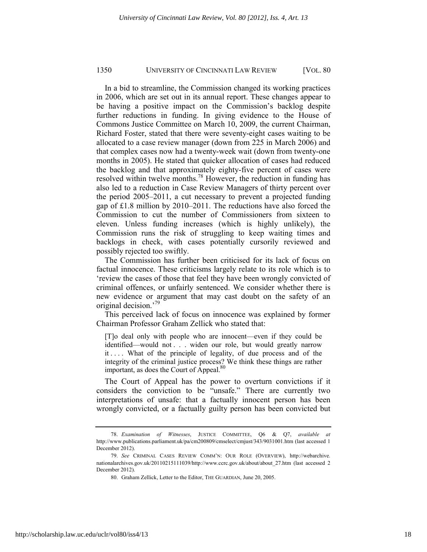In a bid to streamline, the Commission changed its working practices in 2006, which are set out in its annual report. These changes appear to be having a positive impact on the Commission's backlog despite further reductions in funding. In giving evidence to the House of Commons Justice Committee on March 10, 2009, the current Chairman, Richard Foster, stated that there were seventy-eight cases waiting to be allocated to a case review manager (down from 225 in March 2006) and that complex cases now had a twenty-week wait (down from twenty-one months in 2005). He stated that quicker allocation of cases had reduced the backlog and that approximately eighty-five percent of cases were resolved within twelve months.<sup>78</sup> However, the reduction in funding has also led to a reduction in Case Review Managers of thirty percent over the period 2005–2011, a cut necessary to prevent a projected funding gap of £1.8 million by 2010–2011. The reductions have also forced the Commission to cut the number of Commissioners from sixteen to eleven. Unless funding increases (which is highly unlikely), the Commission runs the risk of struggling to keep waiting times and backlogs in check, with cases potentially cursorily reviewed and possibly rejected too swiftly.

The Commission has further been criticised for its lack of focus on factual innocence. These criticisms largely relate to its role which is to 'review the cases of those that feel they have been wrongly convicted of criminal offences, or unfairly sentenced. We consider whether there is new evidence or argument that may cast doubt on the safety of an original decision.'<sup>79</sup>

This perceived lack of focus on innocence was explained by former Chairman Professor Graham Zellick who stated that:

[T]o deal only with people who are innocent—even if they could be identified—would not . . . widen our role, but would greatly narrow it . . . . What of the principle of legality, of due process and of the integrity of the criminal justice process? We think these things are rather important, as does the Court of Appeal.<sup>80</sup>

The Court of Appeal has the power to overturn convictions if it considers the conviction to be "unsafe." There are currently two interpretations of unsafe: that a factually innocent person has been wrongly convicted, or a factually guilty person has been convicted but

 <sup>78.</sup> *Examination of Witnesses*, JUSTICE COMMITTEE, Q6 & Q7, *available at* http://www.publications.parliament.uk/pa/cm200809/cmselect/cmjust/343/9031001.htm (last accessed 1 December 2012).

 <sup>79.</sup> *See* CRIMINAL CASES REVIEW COMM'N: OUR ROLE (OVERVIEW), http://webarchive. nationalarchives.gov.uk/20110215111039/http://www.ccrc.gov.uk/about/about\_27.htm (last accessed 2 December 2012).

 <sup>80.</sup> Graham Zellick, Letter to the Editor, THE GUARDIAN, June 20, 2005.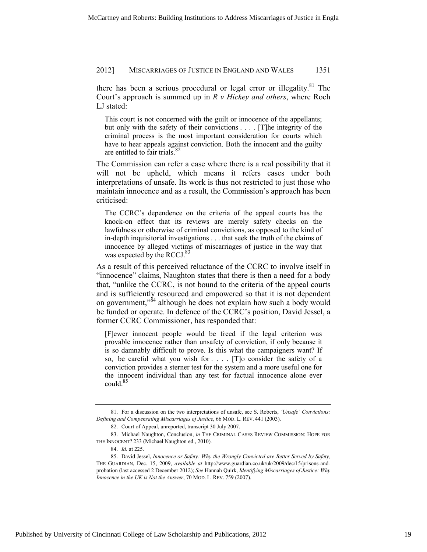there has been a serious procedural or legal error or illegality.<sup>81</sup> The Court's approach is summed up in *R v Hickey and others*, where Roch LJ stated:

This court is not concerned with the guilt or innocence of the appellants; but only with the safety of their convictions . . . . [T]he integrity of the criminal process is the most important consideration for courts which have to hear appeals against conviction. Both the innocent and the guilty are entitled to fair trials. $82$ 

The Commission can refer a case where there is a real possibility that it will not be upheld, which means it refers cases under both interpretations of unsafe. Its work is thus not restricted to just those who maintain innocence and as a result, the Commission's approach has been criticised:

The CCRC's dependence on the criteria of the appeal courts has the knock-on effect that its reviews are merely safety checks on the lawfulness or otherwise of criminal convictions, as opposed to the kind of in-depth inquisitorial investigations . . . that seek the truth of the claims of innocence by alleged victims of miscarriages of justice in the way that was expected by the RCCJ. $83$ 

As a result of this perceived reluctance of the CCRC to involve itself in "innocence" claims, Naughton states that there is then a need for a body that, "unlike the CCRC, is not bound to the criteria of the appeal courts and is sufficiently resourced and empowered so that it is not dependent on government,<sup>384</sup> although he does not explain how such a body would be funded or operate. In defence of the CCRC's position, David Jessel, a former CCRC Commissioner, has responded that:

[F]ewer innocent people would be freed if the legal criterion was provable innocence rather than unsafety of conviction, if only because it is so damnably difficult to prove. Is this what the campaigners want? If so, be careful what you wish for . . . . [T]o consider the safety of a conviction provides a sterner test for the system and a more useful one for the innocent individual than any test for factual innocence alone ever could.<sup>85</sup>

 <sup>81.</sup> For a discussion on the two interpretations of unsafe, see S. Roberts, *'Unsafe' Convictions: Defining and Compensating Miscarriages of Justice*, 66 MOD. L. REV. 441 (2003).

 <sup>82.</sup> Court of Appeal, unreported, transcript 30 July 2007.

 <sup>83.</sup> Michael Naughton, Conclusion, *in* THE CRIMINAL CASES REVIEW COMMISSION: HOPE FOR THE INNOCENT? 233 (Michael Naughton ed., 2010).

 <sup>84.</sup> *Id.* at 225.

 <sup>85.</sup> David Jessel, *Innocence or Safety: Why the Wrongly Convicted are Better Served by Safety,*  THE GUARDIAN, Dec. 15, 2009, *available at* http://www.guardian.co.uk/uk/2009/dec/15/prisons-andprobation (last accessed 2 December 2012); *See* Hannah Quirk, *Identifying Miscarriages of Justice: Why Innocence in the UK is Not the Answer*, 70 MOD. L. REV. 759 (2007).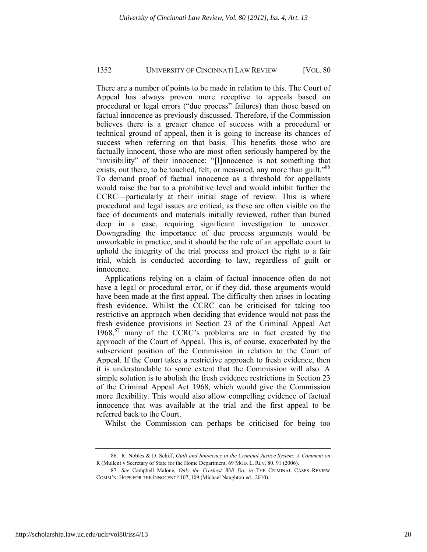There are a number of points to be made in relation to this. The Court of Appeal has always proven more receptive to appeals based on procedural or legal errors ("due process" failures) than those based on factual innocence as previously discussed. Therefore, if the Commission believes there is a greater chance of success with a procedural or technical ground of appeal, then it is going to increase its chances of success when referring on that basis. This benefits those who are factually innocent, those who are most often seriously hampered by the "invisibility" of their innocence: "[I]nnocence is not something that exists, out there, to be touched, felt, or measured, any more than guilt."<sup>86</sup> To demand proof of factual innocence as a threshold for appellants would raise the bar to a prohibitive level and would inhibit further the CCRC—particularly at their initial stage of review. This is where procedural and legal issues are critical, as these are often visible on the face of documents and materials initially reviewed, rather than buried deep in a case, requiring significant investigation to uncover. Downgrading the importance of due process arguments would be unworkable in practice, and it should be the role of an appellate court to uphold the integrity of the trial process and protect the right to a fair trial, which is conducted according to law, regardless of guilt or innocence.

Applications relying on a claim of factual innocence often do not have a legal or procedural error, or if they did, those arguments would have been made at the first appeal. The difficulty then arises in locating fresh evidence. Whilst the CCRC can be criticised for taking too restrictive an approach when deciding that evidence would not pass the fresh evidence provisions in Section 23 of the Criminal Appeal Act 1968,<sup>87</sup> many of the CCRC's problems are in fact created by the approach of the Court of Appeal. This is, of course, exacerbated by the subservient position of the Commission in relation to the Court of Appeal. If the Court takes a restrictive approach to fresh evidence, then it is understandable to some extent that the Commission will also. A simple solution is to abolish the fresh evidence restrictions in Section 23 of the Criminal Appeal Act 1968, which would give the Commission more flexibility. This would also allow compelling evidence of factual innocence that was available at the trial and the first appeal to be referred back to the Court.

Whilst the Commission can perhaps be criticised for being too

 <sup>86.</sup> R. Nobles & D. Schiff, *Guilt and Innocence in the Criminal Justice System: A Comment on*  R (Mullen) v Secretary of State for the Home Department, 69 MOD. L. REV. 80, 91 (2006).

 <sup>87.</sup> *See* Campbell Malone, *Only the Freshest Will Do*, *in* THE CRIMINAL CASES REVIEW COMM'N: HOPE FOR THE INNOCENT? 107, 109 (Michael Naughton ed., 2010).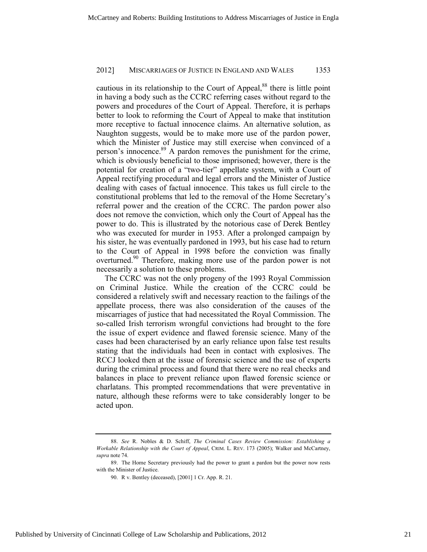cautious in its relationship to the Court of Appeal,<sup>88</sup> there is little point in having a body such as the CCRC referring cases without regard to the powers and procedures of the Court of Appeal. Therefore, it is perhaps better to look to reforming the Court of Appeal to make that institution more receptive to factual innocence claims. An alternative solution, as Naughton suggests, would be to make more use of the pardon power, which the Minister of Justice may still exercise when convinced of a person's innocence.<sup>89</sup> A pardon removes the punishment for the crime, which is obviously beneficial to those imprisoned; however, there is the potential for creation of a "two-tier" appellate system, with a Court of Appeal rectifying procedural and legal errors and the Minister of Justice dealing with cases of factual innocence. This takes us full circle to the constitutional problems that led to the removal of the Home Secretary's referral power and the creation of the CCRC. The pardon power also does not remove the conviction, which only the Court of Appeal has the power to do. This is illustrated by the notorious case of Derek Bentley who was executed for murder in 1953. After a prolonged campaign by his sister, he was eventually pardoned in 1993, but his case had to return to the Court of Appeal in 1998 before the conviction was finally overturned.<sup>90</sup> Therefore, making more use of the pardon power is not necessarily a solution to these problems.

The CCRC was not the only progeny of the 1993 Royal Commission on Criminal Justice. While the creation of the CCRC could be considered a relatively swift and necessary reaction to the failings of the appellate process, there was also consideration of the causes of the miscarriages of justice that had necessitated the Royal Commission. The so-called Irish terrorism wrongful convictions had brought to the fore the issue of expert evidence and flawed forensic science. Many of the cases had been characterised by an early reliance upon false test results stating that the individuals had been in contact with explosives. The RCCJ looked then at the issue of forensic science and the use of experts during the criminal process and found that there were no real checks and balances in place to prevent reliance upon flawed forensic science or charlatans. This prompted recommendations that were preventative in nature, although these reforms were to take considerably longer to be acted upon.

 <sup>88.</sup> *See* R. Nobles & D. Schiff, *The Criminal Cases Review Commission: Establishing a Workable Relationship with the Court of Appeal*, CRIM. L. REV. 173 (2005); Walker and McCartney, *supra* note 74.

 <sup>89.</sup> The Home Secretary previously had the power to grant a pardon but the power now rests with the Minister of Justice.

 <sup>90.</sup> R v. Bentley (deceased), [2001] 1 Cr. App. R. 21.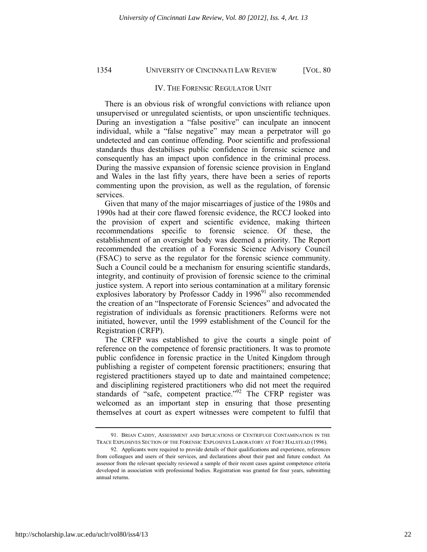#### IV. THE FORENSIC REGULATOR UNIT

There is an obvious risk of wrongful convictions with reliance upon unsupervised or unregulated scientists, or upon unscientific techniques. During an investigation a "false positive" can inculpate an innocent individual, while a "false negative" may mean a perpetrator will go undetected and can continue offending. Poor scientific and professional standards thus destabilises public confidence in forensic science and consequently has an impact upon confidence in the criminal process. During the massive expansion of forensic science provision in England and Wales in the last fifty years, there have been a series of reports commenting upon the provision, as well as the regulation, of forensic services.

Given that many of the major miscarriages of justice of the 1980s and 1990s had at their core flawed forensic evidence, the RCCJ looked into the provision of expert and scientific evidence, making thirteen recommendations specific to forensic science. Of these, the establishment of an oversight body was deemed a priority. The Report recommended the creation of a Forensic Science Advisory Council (FSAC) to serve as the regulator for the forensic science community. Such a Council could be a mechanism for ensuring scientific standards, integrity, and continuity of provision of forensic science to the criminal justice system. A report into serious contamination at a military forensic explosives laboratory by Professor Caddy in 1996<sup>91</sup> also recommended the creation of an "Inspectorate of Forensic Sciences" and advocated the registration of individuals as forensic practitioners. Reforms were not initiated, however, until the 1999 establishment of the Council for the Registration (CRFP).

The CRFP was established to give the courts a single point of reference on the competence of forensic practitioners. It was to promote public confidence in forensic practice in the United Kingdom through publishing a register of competent forensic practitioners; ensuring that registered practitioners stayed up to date and maintained competence; and disciplining registered practitioners who did not meet the required standards of "safe, competent practice."<sup>92</sup> The CFRP register was welcomed as an important step in ensuring that those presenting themselves at court as expert witnesses were competent to fulfil that

 <sup>91.</sup> BRIAN CADDY, ASSESSMENT AND IMPLICATIONS OF CENTRIFUGE CONTAMINATION IN THE TRACE EXPLOSIVES SECTION OF THE FORENSIC EXPLOSIVES LABORATORY AT FORT HALSTEAD (1996).

 <sup>92.</sup> Applicants were required to provide details of their qualifications and experience, references from colleagues and users of their services, and declarations about their past and future conduct. An assessor from the relevant specialty reviewed a sample of their recent cases against competence criteria developed in association with professional bodies. Registration was granted for four years, submitting annual returns.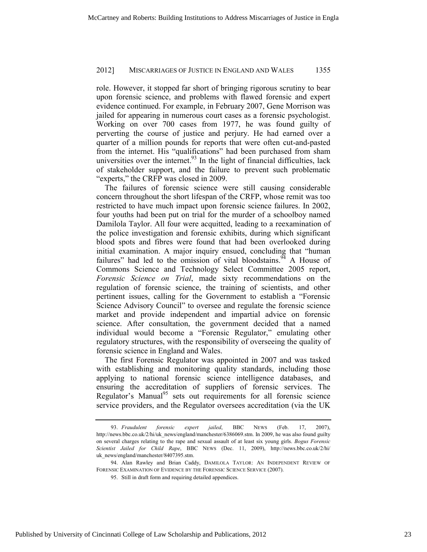role. However, it stopped far short of bringing rigorous scrutiny to bear upon forensic science, and problems with flawed forensic and expert evidence continued. For example, in February 2007, Gene Morrison was jailed for appearing in numerous court cases as a forensic psychologist. Working on over 700 cases from 1977, he was found guilty of perverting the course of justice and perjury. He had earned over a quarter of a million pounds for reports that were often cut-and-pasted from the internet. His "qualifications" had been purchased from sham universities over the internet. $93$  In the light of financial difficulties, lack of stakeholder support, and the failure to prevent such problematic "experts," the CRFP was closed in 2009.

The failures of forensic science were still causing considerable concern throughout the short lifespan of the CRFP, whose remit was too restricted to have much impact upon forensic science failures. In 2002, four youths had been put on trial for the murder of a schoolboy named Damilola Taylor. All four were acquitted, leading to a reexamination of the police investigation and forensic exhibits, during which significant blood spots and fibres were found that had been overlooked during initial examination. A major inquiry ensued, concluding that "human failures" had led to the omission of vital bloodstains.  $94$  A House of Commons Science and Technology Select Committee 2005 report, *Forensic Science on Trial*, made sixty recommendations on the regulation of forensic science, the training of scientists, and other pertinent issues, calling for the Government to establish a "Forensic Science Advisory Council" to oversee and regulate the forensic science market and provide independent and impartial advice on forensic science. After consultation, the government decided that a named individual would become a "Forensic Regulator," emulating other regulatory structures, with the responsibility of overseeing the quality of forensic science in England and Wales.

The first Forensic Regulator was appointed in 2007 and was tasked with establishing and monitoring quality standards, including those applying to national forensic science intelligence databases, and ensuring the accreditation of suppliers of forensic services. The Regulator's Manual<sup>95</sup> sets out requirements for all forensic science service providers, and the Regulator oversees accreditation (via the UK

 <sup>93.</sup> *Fraudulent forensic expert jailed*, BBC NEWS (Feb. 17, 2007), http://news.bbc.co.uk/2/hi/uk\_news/england/manchester/6386069.stm. In 2009, he was also found guilty on several charges relating to the rape and sexual assault of at least six young girls. *Bogus Forensic Scientist Jailed for Child Rape*, BBC NEWS (Dec. 11, 2009), http://news.bbc.co.uk/2/hi/ uk\_news/england/manchester/8407395.stm.

 <sup>94.</sup> Alan Rawley and Brian Caddy, DAMILOLA TAYLOR: AN INDEPENDENT REVIEW OF FORENSIC EXAMINATION OF EVIDENCE BY THE FORENSIC SCIENCE SERVICE (2007).

 <sup>95.</sup> Still in draft form and requiring detailed appendices.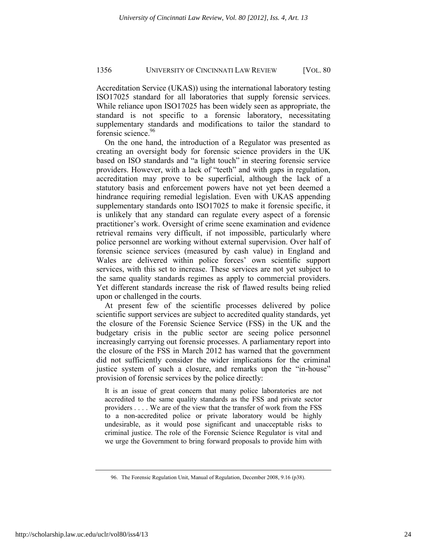Accreditation Service (UKAS)) using the international laboratory testing ISO17025 standard for all laboratories that supply forensic services. While reliance upon ISO17025 has been widely seen as appropriate, the standard is not specific to a forensic laboratory, necessitating supplementary standards and modifications to tailor the standard to forensic science.<sup>96</sup>

On the one hand, the introduction of a Regulator was presented as creating an oversight body for forensic science providers in the UK based on ISO standards and "a light touch" in steering forensic service providers. However, with a lack of "teeth" and with gaps in regulation, accreditation may prove to be superficial, although the lack of a statutory basis and enforcement powers have not yet been deemed a hindrance requiring remedial legislation. Even with UKAS appending supplementary standards onto ISO17025 to make it forensic specific, it is unlikely that any standard can regulate every aspect of a forensic practitioner's work. Oversight of crime scene examination and evidence retrieval remains very difficult, if not impossible, particularly where police personnel are working without external supervision. Over half of forensic science services (measured by cash value) in England and Wales are delivered within police forces' own scientific support services, with this set to increase. These services are not yet subject to the same quality standards regimes as apply to commercial providers. Yet different standards increase the risk of flawed results being relied upon or challenged in the courts.

At present few of the scientific processes delivered by police scientific support services are subject to accredited quality standards, yet the closure of the Forensic Science Service (FSS) in the UK and the budgetary crisis in the public sector are seeing police personnel increasingly carrying out forensic processes. A parliamentary report into the closure of the FSS in March 2012 has warned that the government did not sufficiently consider the wider implications for the criminal justice system of such a closure, and remarks upon the "in-house" provision of forensic services by the police directly:

It is an issue of great concern that many police laboratories are not accredited to the same quality standards as the FSS and private sector providers . . . . We are of the view that the transfer of work from the FSS to a non-accredited police or private laboratory would be highly undesirable, as it would pose significant and unacceptable risks to criminal justice. The role of the Forensic Science Regulator is vital and we urge the Government to bring forward proposals to provide him with

 <sup>96.</sup> The Forensic Regulation Unit, Manual of Regulation, December 2008, 9.16 (p38).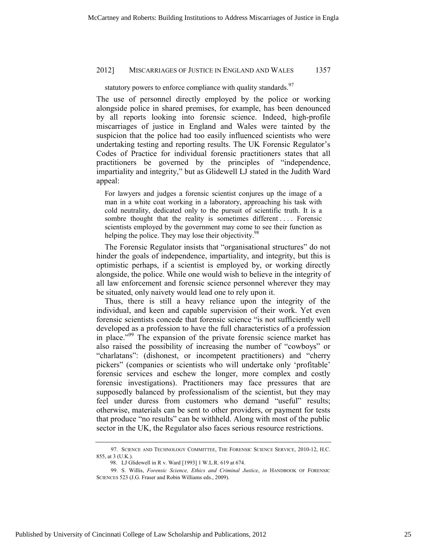statutory powers to enforce compliance with quality standards.<sup>97</sup>

The use of personnel directly employed by the police or working alongside police in shared premises, for example, has been denounced by all reports looking into forensic science. Indeed, high-profile miscarriages of justice in England and Wales were tainted by the suspicion that the police had too easily influenced scientists who were undertaking testing and reporting results. The UK Forensic Regulator's Codes of Practice for individual forensic practitioners states that all practitioners be governed by the principles of "independence, impartiality and integrity," but as Glidewell LJ stated in the Judith Ward appeal:

For lawyers and judges a forensic scientist conjures up the image of a man in a white coat working in a laboratory, approaching his task with cold neutrality, dedicated only to the pursuit of scientific truth. It is a sombre thought that the reality is sometimes different .... Forensic scientists employed by the government may come to see their function as helping the police. They may lose their objectivity.<sup>98</sup>

The Forensic Regulator insists that "organisational structures" do not hinder the goals of independence, impartiality, and integrity, but this is optimistic perhaps, if a scientist is employed by, or working directly alongside, the police. While one would wish to believe in the integrity of all law enforcement and forensic science personnel wherever they may be situated, only naivety would lead one to rely upon it.

Thus, there is still a heavy reliance upon the integrity of the individual, and keen and capable supervision of their work. Yet even forensic scientists concede that forensic science "is not sufficiently well developed as a profession to have the full characteristics of a profession in place."<sup>99</sup> The expansion of the private forensic science market has also raised the possibility of increasing the number of "cowboys" or "charlatans": (dishonest, or incompetent practitioners) and "cherry pickers" (companies or scientists who will undertake only 'profitable' forensic services and eschew the longer, more complex and costly forensic investigations). Practitioners may face pressures that are supposedly balanced by professionalism of the scientist, but they may feel under duress from customers who demand "useful" results; otherwise, materials can be sent to other providers, or payment for tests that produce "no results" can be withheld. Along with most of the public sector in the UK, the Regulator also faces serious resource restrictions.

 <sup>97.</sup> SCIENCE AND TECHNOLOGY COMMITTEE, THE FORENSIC SCIENCE SERVICE, 2010-12, H.C. 855, at 3 (U.K.).

<sup>98.</sup> LJ Glidewell in R v. Ward [1993] 1 W.L.R. 619 at 674.

 <sup>99.</sup> S. Willis, *Forensic Science, Ethics and Criminal Justice*, *in* HANDBOOK OF FORENSIC SCIENCES 523 (J.G. Fraser and Robin Williams eds., 2009).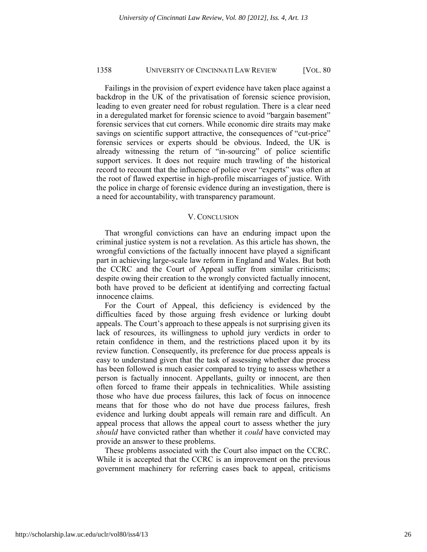Failings in the provision of expert evidence have taken place against a backdrop in the UK of the privatisation of forensic science provision, leading to even greater need for robust regulation. There is a clear need in a deregulated market for forensic science to avoid "bargain basement" forensic services that cut corners. While economic dire straits may make savings on scientific support attractive, the consequences of "cut-price" forensic services or experts should be obvious. Indeed, the UK is already witnessing the return of "in-sourcing" of police scientific support services. It does not require much trawling of the historical record to recount that the influence of police over "experts" was often at the root of flawed expertise in high-profile miscarriages of justice. With the police in charge of forensic evidence during an investigation, there is a need for accountability, with transparency paramount.

#### V. CONCLUSION

That wrongful convictions can have an enduring impact upon the criminal justice system is not a revelation. As this article has shown, the wrongful convictions of the factually innocent have played a significant part in achieving large-scale law reform in England and Wales. But both the CCRC and the Court of Appeal suffer from similar criticisms; despite owing their creation to the wrongly convicted factually innocent, both have proved to be deficient at identifying and correcting factual innocence claims.

For the Court of Appeal, this deficiency is evidenced by the difficulties faced by those arguing fresh evidence or lurking doubt appeals. The Court's approach to these appeals is not surprising given its lack of resources, its willingness to uphold jury verdicts in order to retain confidence in them, and the restrictions placed upon it by its review function. Consequently, its preference for due process appeals is easy to understand given that the task of assessing whether due process has been followed is much easier compared to trying to assess whether a person is factually innocent. Appellants, guilty or innocent, are then often forced to frame their appeals in technicalities. While assisting those who have due process failures, this lack of focus on innocence means that for those who do not have due process failures, fresh evidence and lurking doubt appeals will remain rare and difficult. An appeal process that allows the appeal court to assess whether the jury *should* have convicted rather than whether it *could* have convicted may provide an answer to these problems.

These problems associated with the Court also impact on the CCRC. While it is accepted that the CCRC is an improvement on the previous government machinery for referring cases back to appeal, criticisms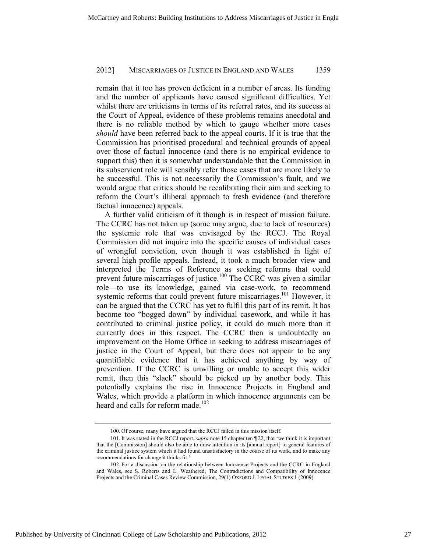remain that it too has proven deficient in a number of areas. Its funding and the number of applicants have caused significant difficulties. Yet whilst there are criticisms in terms of its referral rates, and its success at the Court of Appeal, evidence of these problems remains anecdotal and there is no reliable method by which to gauge whether more cases *should* have been referred back to the appeal courts. If it is true that the Commission has prioritised procedural and technical grounds of appeal over those of factual innocence (and there is no empirical evidence to support this) then it is somewhat understandable that the Commission in its subservient role will sensibly refer those cases that are more likely to be successful. This is not necessarily the Commission's fault, and we would argue that critics should be recalibrating their aim and seeking to reform the Court's illiberal approach to fresh evidence (and therefore factual innocence) appeals.

A further valid criticism of it though is in respect of mission failure. The CCRC has not taken up (some may argue, due to lack of resources) the systemic role that was envisaged by the RCCJ. The Royal Commission did not inquire into the specific causes of individual cases of wrongful conviction, even though it was established in light of several high profile appeals. Instead, it took a much broader view and interpreted the Terms of Reference as seeking reforms that could prevent future miscarriages of justice.<sup>100</sup> The CCRC was given a similar role—to use its knowledge, gained via case-work, to recommend systemic reforms that could prevent future miscarriages.<sup>101</sup> However, it can be argued that the CCRC has yet to fulfil this part of its remit. It has become too "bogged down" by individual casework, and while it has contributed to criminal justice policy, it could do much more than it currently does in this respect. The CCRC then is undoubtedly an improvement on the Home Office in seeking to address miscarriages of justice in the Court of Appeal, but there does not appear to be any quantifiable evidence that it has achieved anything by way of prevention. If the CCRC is unwilling or unable to accept this wider remit, then this "slack" should be picked up by another body. This potentially explains the rise in Innocence Projects in England and Wales, which provide a platform in which innocence arguments can be heard and calls for reform made.<sup>102</sup>

<sup>100.</sup> Of course, many have argued that the RCCJ failed in this mission itself.

<sup>101.</sup> It was stated in the RCCJ report, *supra* note 15 chapter ten ¶ 22, that 'we think it is important that the [Commission] should also be able to draw attention in its [annual report] to general features of the criminal justice system which it had found unsatisfactory in the course of its work, and to make any recommendations for change it thinks fit.'

<sup>102.</sup> For a discussion on the relationship between Innocence Projects and the CCRC in England and Wales, see S. Roberts and L. Weathered, The Contradictions and Compatibility of Innocence Projects and the Criminal Cases Review Commission, 29(1) OXFORD J. LEGAL STUDIES 1 (2009).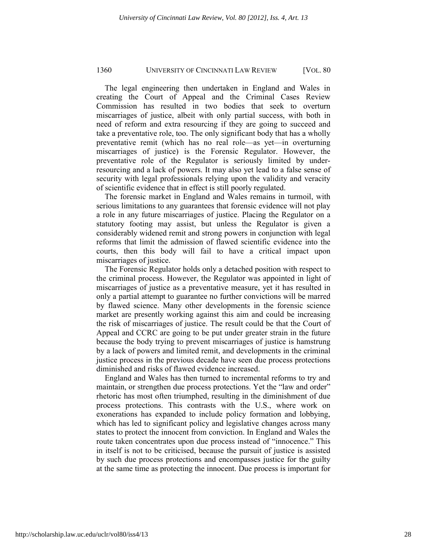The legal engineering then undertaken in England and Wales in creating the Court of Appeal and the Criminal Cases Review Commission has resulted in two bodies that seek to overturn miscarriages of justice, albeit with only partial success, with both in need of reform and extra resourcing if they are going to succeed and take a preventative role, too. The only significant body that has a wholly preventative remit (which has no real role—as yet—in overturning miscarriages of justice) is the Forensic Regulator. However, the preventative role of the Regulator is seriously limited by underresourcing and a lack of powers. It may also yet lead to a false sense of security with legal professionals relying upon the validity and veracity of scientific evidence that in effect is still poorly regulated.

The forensic market in England and Wales remains in turmoil, with serious limitations to any guarantees that forensic evidence will not play a role in any future miscarriages of justice. Placing the Regulator on a statutory footing may assist, but unless the Regulator is given a considerably widened remit and strong powers in conjunction with legal reforms that limit the admission of flawed scientific evidence into the courts, then this body will fail to have a critical impact upon miscarriages of justice.

The Forensic Regulator holds only a detached position with respect to the criminal process. However, the Regulator was appointed in light of miscarriages of justice as a preventative measure, yet it has resulted in only a partial attempt to guarantee no further convictions will be marred by flawed science. Many other developments in the forensic science market are presently working against this aim and could be increasing the risk of miscarriages of justice. The result could be that the Court of Appeal and CCRC are going to be put under greater strain in the future because the body trying to prevent miscarriages of justice is hamstrung by a lack of powers and limited remit, and developments in the criminal justice process in the previous decade have seen due process protections diminished and risks of flawed evidence increased.

England and Wales has then turned to incremental reforms to try and maintain, or strengthen due process protections. Yet the "law and order" rhetoric has most often triumphed, resulting in the diminishment of due process protections. This contrasts with the U.S., where work on exonerations has expanded to include policy formation and lobbying, which has led to significant policy and legislative changes across many states to protect the innocent from conviction. In England and Wales the route taken concentrates upon due process instead of "innocence." This in itself is not to be criticised, because the pursuit of justice is assisted by such due process protections and encompasses justice for the guilty at the same time as protecting the innocent. Due process is important for